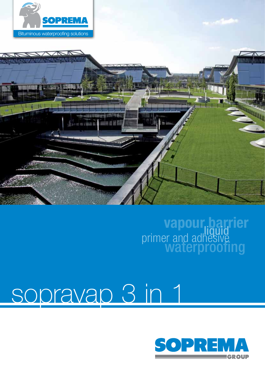



# vapour.barrier<br>primer and adhesive<br>waterproofing

## sopravap 3 in 1

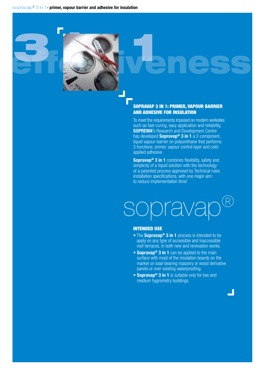3 **1** 

effectiveness

#### SOPRAVAp 3 in 1: primer, vapour barrier and adhesive for insulation

To meet the requirements imposed on modern worksites such as fast-curing, easy application and reliability, **SOPREMA's Research and Development Centre** has developed **Sopravap® 3 in 1** a 2-component, liquid vapour-barrier on polyurethane that performs 3 functions: primer, vapour control layer and coldapplied adhesive.

**Sopravap® 3 in 1** combines flexibility, safety and simplicity of a liquid solution with the technology of a patented process approved by Technical rules installation specifications, with one major aim: to reduce implementation time!

### oprava

#### intended use

- The **Sopravap® 3 in 1** process is intended to be apply on any type of accessible and inaccessible roof-terraces, in both new and renovation works.
- **Sopravap® 3 in 1** can be applied to the main surface with most of the insulation boards on the market on load-bearing masonry or wood derivative panels or over existing waterproofing.
- **Sopravap® 3 in 1** is suitable only for low and medium hygrometry buildings.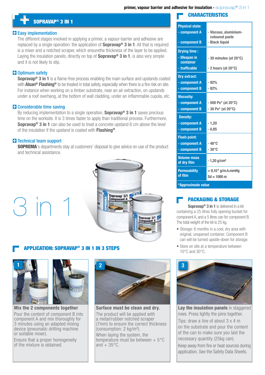### + sopravap**®** 3 in 1

#### **Easy implementation**

The different stages involved in applying a primer, a vapour-barrier and adhesive are replaced by a single operation: the application of **Sopravap® 3 in 1**. All that is required is a mixer and a notched scraper, which ensurethe thickness of the layer to be applied. Laying the insulation panels, directly on top of **Sopravap® 3 in 1**, is also very simple and it is not likely to slip.

#### **D**Optimum safety

**Sopravap® 3 in 1** is a flame-free process enabling the main surface and upstands coated with **Alsan® Flashing®** to be treated in total safety, especially when there is a fire risk on site. For instance when working on a timber substrate, near an air extraction, on upstands under a roof overhang, at the bottom of wall cladding, under an inflammable cupola, etc.

#### **Considerable time saving**

By reducing implementation to a single operation, **Sopravap® 3 in 1** saves precious time on the worksite. It is 3 times faster to apply than traditional process. Furthermore, **Sopravap® 3 in 1** can also be used to treat a concrete upstand 6 cm above the level of the insulation if the upstand is coated with **Flashing®**.

#### **T**-Technical team support

**SOPREMA**'s departments stay at customers' disposal to give advice on use of the product and technical assistance.



#### Application: Sopravap**®** 3 in 1 in 3 steps



 $31$ 

**Mix the 2 components together** Pour the content of component B into component A and mix thoroughly for

3 minutes using an adapted mixing device (pneumatic drilling machine or suitable mixer).

Ensure that a proper homogeneity of the mixture is obtained.



**Surface must be clean and dry.** The product will be applied with a metal/rubber notched scraper (7mm) to ensure the correct thickness (consumption: 2 kg/m²). When laying the system, the temperature must be between  $+5^{\circ}$ C and  $+35^{\circ}$ C.

#### **CHARACTERISTICS**

| <b>Physical state:</b>            |                                         |
|-----------------------------------|-----------------------------------------|
| - component A                     | - Viscous, aluminium-<br>coloured paste |
| - component B                     | - Black liquid                          |
| <b>Drying time:</b>               |                                         |
| - lifespan in<br>container        | $-30$ minutes (at 20 $\degree$ C)       |
| - trafficable                     | $-2$ hours (at 20 $\degree$ C)          |
| <b>Dry extract:</b>               |                                         |
| - component A                     | $-92%$                                  |
| - component B                     | $-82%$                                  |
| <b>Viscosity:</b>                 |                                         |
| - component A                     | $-500 Po*$ (at 20°C)                    |
| - component B                     | $-30 Po*$ (at 20°C)                     |
| <b>Density:</b>                   |                                         |
| - component A                     | $-1,20$                                 |
| - component B                     | $-0,85$                                 |
| <b>Flash point:</b>               |                                         |
| - component A                     | -48°C                                   |
| - component B                     | $-30^{\circ}$ C                         |
| <b>Volume mass</b><br>of dry film | $-1,20$ g/cm <sup>2</sup>               |
| <b>Permeability</b>               | $<$ 9,10 <sup>-5</sup> g/m.h.mmHg       |
| of film                           | $Sd = 1000$ m                           |
| *Approximate value                |                                         |

#### Packaging & storage

**Sopravap® 3 in 1** is delivered in a kit containing a 25 litres fully opening bucket for component A, and a 5 litres can for component B. The total weight of the kit is 25 kg.

- Storage: 6 months in a cool, dry area with original, unopened container. Component B can will be turned upside-down for storage.
- Store on site at a temperature between 10°C and 30°C.



**Lay the insulation panels** in staggered rows. Press lightly the joins together.

Tips: draw a line of about 3 x 4 m on the substrate and pour the content of the can to make sure you laid the necessary quantity (25kg can).

Keep away from fire or heat sources during application. See the Safety Data Sheets.